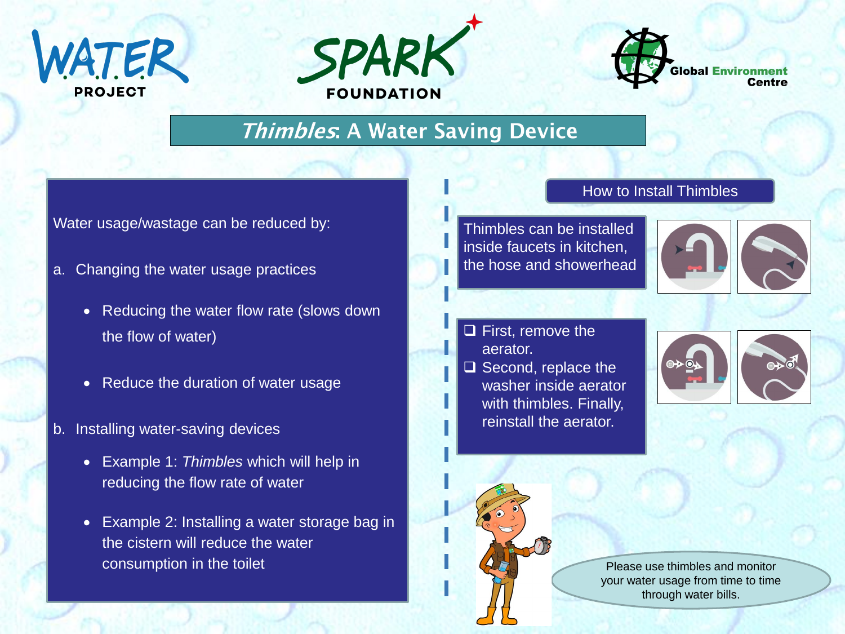





## **Thimbles: A Water Saving Device**

Water usage/wastage can be reduced by:

- a. Changing the water usage practices
	- Reducing the water flow rate (slows down the flow of water)
	- Reduce the duration of water usage
- b. Installing water-saving devices
	- Example 1: *Thimbles* which will help in reducing the flow rate of water
	- Example 2: Installing a water storage bag in the cistern will reduce the water consumption in the toilet

## How to Install Thimbles

Thimbles can be installed inside faucets in kitchen, the hose and showerhead



- $\Box$  First, remove the aerator.
- $\square$  Second, replace the washer inside aerator with thimbles. Finally, reinstall the aerator.





**Page 1** Please use thimbles and monitor your water usage from time to time through water bills.